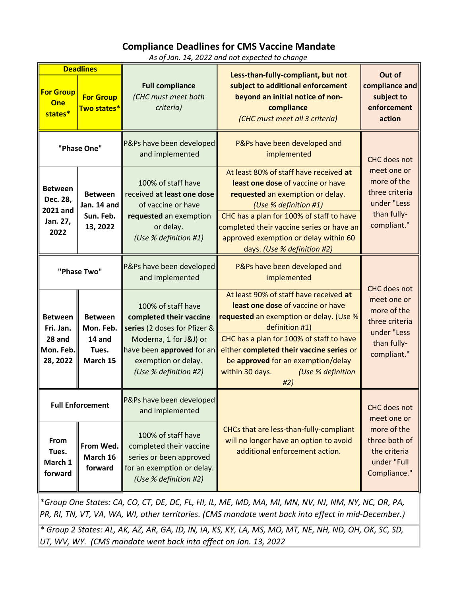## Compliance Deadlines for CMS Vaccine Mandate

As of Jan. 14, 2022 and not expected to change

| <b>Deadlines</b>                                               |                                                             |                                                                                                                                                                                      |                                                                                                                                                                                                                                                                                                                       | Out of                                                                                                     |
|----------------------------------------------------------------|-------------------------------------------------------------|--------------------------------------------------------------------------------------------------------------------------------------------------------------------------------------|-----------------------------------------------------------------------------------------------------------------------------------------------------------------------------------------------------------------------------------------------------------------------------------------------------------------------|------------------------------------------------------------------------------------------------------------|
| <b>For Group</b><br>One<br>states*                             | <b>For Group</b><br>Two states*                             | <b>Full compliance</b><br>(CHC must meet both<br>criteria)                                                                                                                           | Less-than-fully-compliant, but not<br>subject to additional enforcement<br>beyond an initial notice of non-<br>compliance<br>(CHC must meet all 3 criteria)                                                                                                                                                           | compliance and<br>subject to<br>enforcement<br>action                                                      |
| "Phase One"                                                    |                                                             | P&Ps have been developed<br>and implemented                                                                                                                                          | P&Ps have been developed and<br>implemented                                                                                                                                                                                                                                                                           | <b>CHC</b> does not                                                                                        |
| <b>Between</b><br>Dec. 28,<br>2021 and<br>Jan. 27,<br>2022     | <b>Between</b><br>Jan. 14 and<br>Sun. Feb.<br>13, 2022      | 100% of staff have<br>received at least one dose<br>of vaccine or have<br>requested an exemption<br>or delay.<br>(Use % definition #1)                                               | At least 80% of staff have received at<br>least one dose of vaccine or have<br>requested an exemption or delay.<br>(Use % definition #1)<br>CHC has a plan for 100% of staff to have<br>completed their vaccine series or have an<br>approved exemption or delay within 60<br>days. (Use % definition #2)             | meet one or<br>more of the<br>three criteria<br>under "Less<br>than fully-<br>compliant."                  |
| "Phase Two"                                                    |                                                             | P&Ps have been developed<br>and implemented                                                                                                                                          | P&Ps have been developed and<br>implemented                                                                                                                                                                                                                                                                           | <b>CHC</b> does not                                                                                        |
| <b>Between</b><br>Fri. Jan.<br>28 and<br>Mon. Feb.<br>28, 2022 | <b>Between</b><br>Mon. Feb.<br>14 and<br>Tues.<br>March 15  | 100% of staff have<br>completed their vaccine<br>series (2 doses for Pfizer &<br>Moderna, 1 for J&J) or<br>have been approved for an<br>exemption or delay.<br>(Use % definition #2) | At least 90% of staff have received at<br>least one dose of vaccine or have<br>requested an exemption or delay. (Use %<br>definition #1)<br>CHC has a plan for 100% of staff to have<br>either completed their vaccine series or<br>be approved for an exemption/delay<br>within 30 days.<br>(Use % definition<br>#2) | meet one or<br>more of the<br>three criteria<br>under "Less<br>than fully-<br>compliant."                  |
| From<br>Tues.<br>March 1<br>forward                            | <b>Full Enforcement</b><br>From Wed.<br>March 16<br>forward | P&Ps have been developed<br>and implemented<br>100% of staff have<br>completed their vaccine<br>series or been approved<br>for an exemption or delay.<br>(Use % definition #2)       | CHCs that are less-than-fully-compliant<br>will no longer have an option to avoid<br>additional enforcement action.                                                                                                                                                                                                   | CHC does not<br>meet one or<br>more of the<br>three both of<br>the criteria<br>under "Full<br>Compliance." |

\*Group One States: CA, CO, CT, DE, DC, FL, HI, IL, ME, MD, MA, MI, MN, NV, NJ, NM, NY, NC, OR, PA, PR, RI, TN, VT, VA, WA, WI, other territories. (CMS mandate went back into effect in mid-December.)

\* Group 2 States: AL, AK, AZ, AR, GA, ID, IN, IA, KS, KY, LA, MS, MO, MT, NE, NH, ND, OH, OK, SC, SD, UT, WV, WY. (CMS mandate went back into effect on Jan. 13, 2022